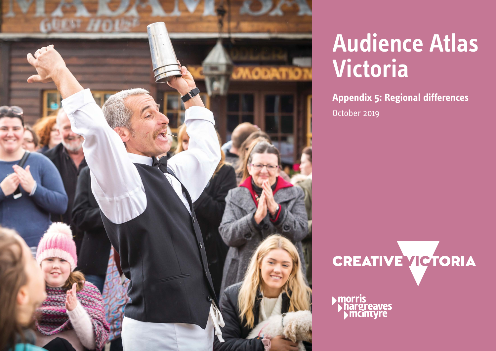

## **Audience Atlas Victoria**

**Appendix 5: Regional differences** October 2019

CREATIVE VICTORIA

morris<br>Phargreaves<br>Pimcintyre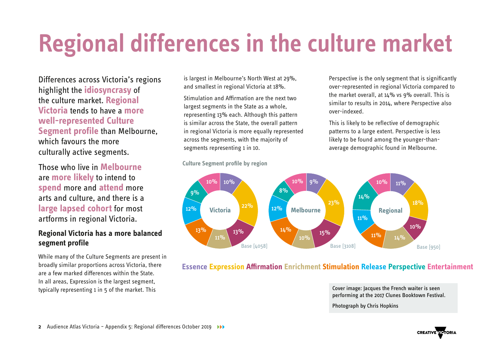# **Regional differences in the culture market**

Differences across Victoria's regions highlight the **idiosyncrasy** of the culture market. **Regional Victoria** tends to have a **more well-represented Culture Segment profile** than Melbourne, which favours the more culturally active segments.

Those who live in **Melbourne** are **more likely** to intend to **spend** more and **attend** more arts and culture, and there is a **large lapsed cohort** for most artforms in regional Victoria.

#### **Regional Victoria has a more balanced segment profile**

While many of the Culture Segments are present in broadly similar proportions across Victoria, there are a few marked differences within the State. In all areas, Expression is the largest segment, typically representing 1 in 5 of the market. This

is largest in Melbourne's North West at 29%, and smallest in regional Victoria at 18%.

Stimulation and Affirmation are the next two largest segments in the State as a whole, representing 13% each. Although this pattern is similar across the State, the overall pattern in regional Victoria is more equally represented across the segments, with the majority of segments representing 1 in 10.



#### **Essence Expression Armation Enrichment Stimulation Release Perspective Entertainment**

Cover image: Jacques the French waiter is seen performing at the 2017 Clunes Booktown Festival.

Photograph by Chris Hopkins

### **Culture Segment profile by region**

Perspective is the only segment that is significantly over-represented in regional Victoria compared to the market overall, at  $14\%$  vs 9% overall. This is similar to results in 2014, where Perspective also over-indexed.

This is likely to be reflective of demographic patterns to a large extent. Perspective is less likely to be found among the younger-thanaverage demographic found in Melbourne.

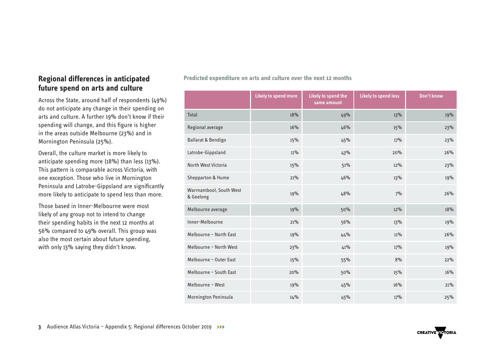#### **Regional differences in anticipated future spend on arts and culture**

Across the State, around half of respondents (49%) do not anticipate any change in their spending on arts and culture. A further 19% don't know if their spending will change, and this figure is higher in the areas outside Melbourne (23%) and in Mornington Peninsula (25%).

Overall, the culture market is more likely to anticipate spending more (18%) than less (13%). This pattern is comparable across Victoria, with one exception. Those who live in Mornington Peninsula and Latrobe-Gippsland are significantly more likely to anticipate to spend less than more.

Those based in Inner-Melbourne were most likely of any group not to intend to change their spending habits in the next 12 months at 56% compared to 49% overall. This group was also the most certain about future spending, with only 13% saying they didn't know.

**Predicted expenditure on arts and culture over the next 12 months** 

|                                      | <b>Likely to spend more</b> | Likely to spend the<br>same amount | <b>Likely to spend less</b> | Don't know |
|--------------------------------------|-----------------------------|------------------------------------|-----------------------------|------------|
| <b>Total</b>                         | 18%                         | 49%                                | 13%                         | 19%        |
| Regional average                     | 16%                         | 46%                                | 15%                         | 23%        |
| Ballarat & Bendigo                   | 15%                         | 45%                                | 17%                         | 23%        |
| Latrobe-Gippsland                    | 11%                         | 43%                                | 20%                         | 26%        |
| North West Victoria                  | 15%                         | 51%                                | 12%                         | 23%        |
| <b>Shepparton &amp; Hume</b>         | 21%                         | 46%                                | 13%                         | 19%        |
| Warrnambool, South West<br>& Geelong | 19%                         | 48%                                | 7%                          | 26%        |
| Melbourne average                    | 19%                         | 50%                                | 12%                         | 18%        |
| Inner-Melbourne                      | 21%                         | 56%                                | 13%                         | 19%        |
| Melbourne - North East               | 19%                         | 44%                                | 11%                         | 26%        |
| Melbourne - North West               | 23%                         | 41%                                | 17%                         | 19%        |
| Melbourne - Outer East               | 15%                         | 55%                                | 8%                          | 22%        |
| Melbourne - South East               | 20%                         | 50%                                | 15%                         | 16%        |
| Melbourne - West                     | 19%                         | 45%                                | 16%                         | 21%        |
| Mornington Peninsula                 | 14%                         | 45%                                | 17%                         | 25%        |

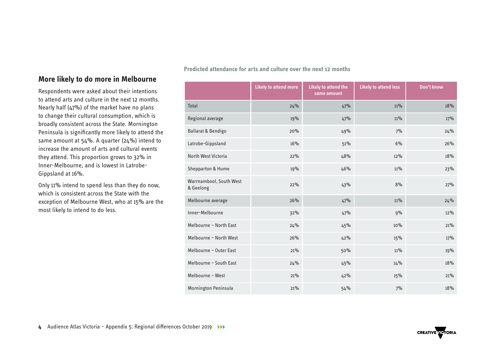### **More likely to do more in Melbourne**

Respondents were asked about their intentions to attend arts and culture in the next 12 months. Nearly half (47%) of the market have no plans to change their cultural consumption, which is broadly consistent across the State. Mornington Peninsula is significantly more likely to attend the same amount at 54%. A quarter (24%) intend to increase the amount of arts and cultural events they attend. This proportion grows to 32% in Inner-Melbourne, and is lowest in Latrobe-Gippsland at 16%.

Only 11% intend to spend less than they do now, which is consistent across the State with the exception of Melbourne West, who at 15% are the most likely to intend to do less.

**Predicted attendance for arts and culture over the next 12 months** 

|                                      | <b>Likely to attend more</b> | <b>Likely to attend the</b><br>same amount | <b>Likely to attend less</b> | Don't know |
|--------------------------------------|------------------------------|--------------------------------------------|------------------------------|------------|
| Total                                | 24%                          | 47%                                        | 11%                          | 18%        |
| Regional average                     | 19%                          | 47%                                        | 11%                          | 17%        |
| Ballarat & Bendigo                   | 20%                          | 49%                                        | 7%                           | 24%        |
| Latrobe-Gippsland                    | 16%                          | 51%                                        | 6%                           | 26%        |
| North West Victoria                  | 22%                          | 48%                                        | 12%                          | 18%        |
| Shepparton & Hume                    | 19%                          | 46%                                        | $11\%$                       | 23%        |
| Warrnambool, South West<br>& Geelong | 22%                          | 43%                                        | 8%                           | 27%        |
| Melbourne average                    | 26%                          | 47%                                        | 11%                          | 24%        |
| Inner-Melbourne                      | 32%                          | 47%                                        | 9%                           | 12%        |
| Melbourne - North East               | 24%                          | 45%                                        | 10%                          | 21%        |
| Melbourne - North West               | 26%                          | 42%                                        | 15%                          | 17%        |
| Melbourne - Outer East               | 21%                          | 50%                                        | 11%                          | 19%        |
| Melbourne - South East               | 24%                          | 45%                                        | 14%                          | 18%        |
| Melbourne - West                     | 21%                          | 42%                                        | 15%                          | 21%        |
| Mornington Peninsula                 | 21%                          | 54%                                        | 7%                           | 18%        |

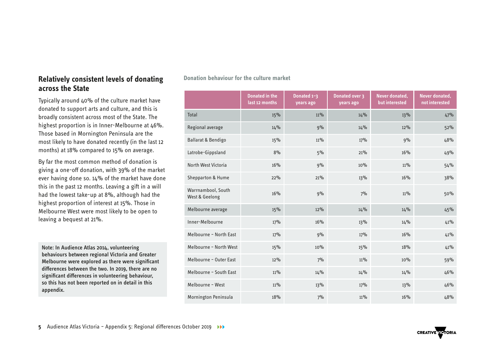#### **Relatively consistent levels of donating across the State**

Typically around 40% of the culture market have donated to support arts and culture, and this is broadly consistent across most of the State. The highest proportion is in Inner-Melbourne at 46%. Those based in Mornington Peninsula are the most likely to have donated recently (in the last 12 months) at 18% compared to 15% on average.

By far the most common method of donation is giving a one-off donation, with 39% of the market ever having done so. 14% of the market have done this in the past 12 months. Leaving a gift in a will had the lowest take-up at 8%, although had the highest proportion of interest at 15%. Those in Melbourne West were most likely to be open to leaving a bequest at 21%.

Note: In Audience Atlas 2014, volunteering behaviours between regional Victoria and Greater Melbourne were explored as there were significant differences between the two. In 2019, there are no significant differences in volunteering behaviour, so this has not been reported on in detail in this appendix.

|                                      | Donated in the<br>last 12 months | Donated $1-3$<br>years ago | Donated over 3<br>years ago | Never donated,<br>but interested | Never donated,<br>not interested |
|--------------------------------------|----------------------------------|----------------------------|-----------------------------|----------------------------------|----------------------------------|
| Total                                | 15%                              | 11%                        | 14%                         | 13%                              | 47%                              |
| Regional average                     | 14%                              | 9%                         | 14%                         | 12%                              | 52%                              |
| Ballarat & Bendigo                   | 15%                              | 11%                        | 17%                         | 9%                               | 48%                              |
| Latrobe-Gippsland                    | 8%                               | 5%                         | 21%                         | 16%                              | 49%                              |
| North West Victoria                  | 16%                              | 9%                         | 10%                         | 11%                              | 54%                              |
| <b>Shepparton &amp; Hume</b>         | 22%                              | 21%                        | 13%                         | 16%                              | 38%                              |
| Warrnambool, South<br>West & Geelong | 16%                              | 9%                         | 7%                          | 11%                              | 50%                              |
| Melbourne average                    | 15%                              | 12%                        | 14%                         | 14%                              | 45%                              |
| Inner-Melbourne                      | 17%                              | 16%                        | 13%                         | 14%                              | 41%                              |
| Melbourne - North East               | 17%                              | 9%                         | 17%                         | 16%                              | 41%                              |
| Melbourne - North West               | 15%                              | 10%                        | 15%                         | 18%                              | 41%                              |
| Melbourne - Outer East               | 12%                              | 7%                         | 11%                         | 10%                              | 59%                              |
| Melbourne - South East               | <b>11%</b>                       | 14%                        | 14%                         | 14%                              | 46%                              |
| Melbourne - West                     | 11%                              | 13%                        | 17%                         | 13%                              | 46%                              |
| Mornington Peninsula                 | 18%                              | 7%                         | 11%                         | 16%                              | 48%                              |

#### **Donation behaviour for the culture market**

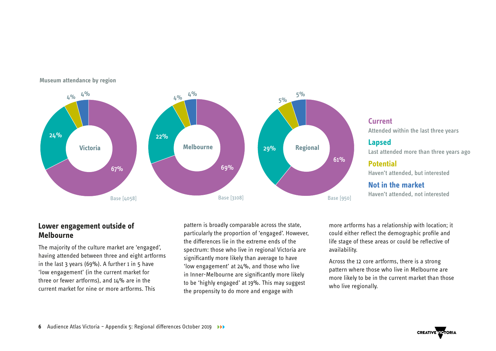

#### **Museum attendance by region**

#### **Lower engagement outside of Melbourne**

The majority of the culture market are 'engaged', having attended between three and eight artforms in the last 3 years (69%). A further 1 in 5 have 'low engagement' (in the current market for three or fewer artforms), and 14% are in the current market for nine or more artforms. This

pattern is broadly comparable across the state, particularly the proportion of 'engaged'. However, the differences lie in the extreme ends of the spectrum: those who live in regional Victoria are significantly more likely than average to have 'low engagement' at 24%, and those who live in Inner-Melbourne are significantly more likely to be 'highly engaged' at 19%. This may suggest the propensity to do more and engage with

more artforms has a relationship with location; it could either reflect the demographic profile and life stage of these areas or could be reflective of availability.

Across the 12 core artforms, there is a strong pattern where those who live in Melbourne are more likely to be in the current market than those who live regionally.

Attended within the last three years

#### **Lapsed**

**Current**

Last attended more than three years ago

**Potential**

Haven't attended, but interested

**Not in the market** Haven't attended, not interested

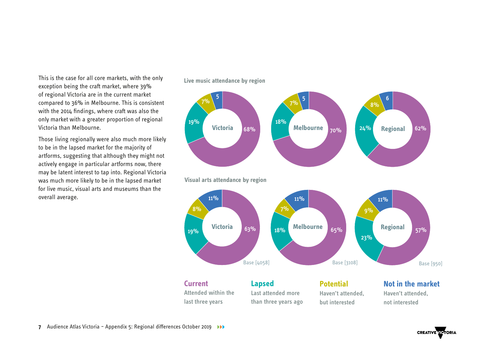This is the case for all core markets, with the only exception being the craft market, where 39% of regional Victoria are in the current market compared to 36% in Melbourne. This is consistent with the 2014 findings, where craft was also the only market with a greater proportion of regional Victoria than Melbourne.

Those living regionally were also much more likely to be in the lapsed market for the majority of artforms, suggesting that although they might not actively engage in particular artforms now, there may be latent interest to tap into. Regional Victoria was much more likely to be in the lapsed market for live music, visual arts and museums than the overall average.



**Live music attendance by region**